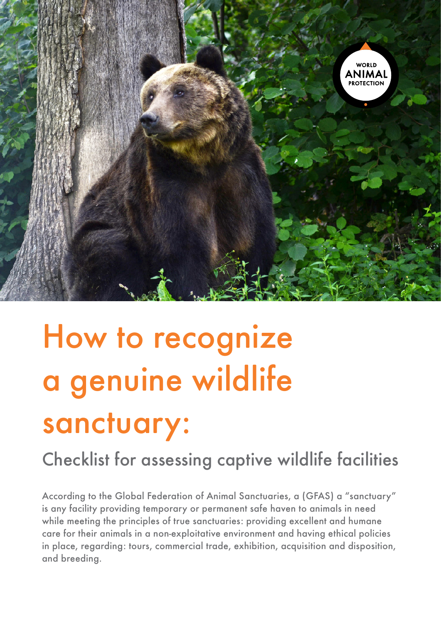

# How to recognize a genuine wildlife sanctuary:

Checklist for assessing captive wildlife facilities

According to the Global Federation of Animal Sanctuaries, a (GFAS) a "sanctuary" is any facility providing temporary or permanent safe haven to animals in need while meeting the principles of true sanctuaries: providing excellent and humane care for their animals in a non-exploitative environment and having ethical policies in place, regarding: tours, commercial trade, exhibition, acquisition and disposition, and breeding.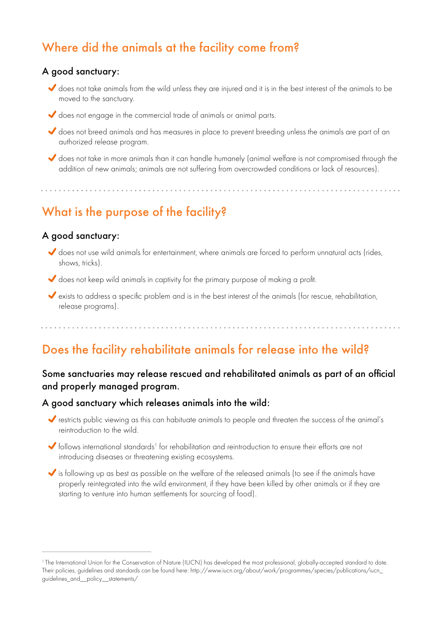## Where did the animals at the facility come from?

#### A good sanctuary:

 does not take animals from the wild unless they are injured and it is in the best interest of the animals to be moved to the sanctuary.

- does not engage in the commercial trade of animals or animal parts.
- does not breed animals and has measures in place to prevent breeding unless the animals are part of an authorized release program.
- does not take in more animals than it can handle humanely (animal welfare is not compromised through the addition of new animals; animals are not suffering from overcrowded conditions or lack of resources).

What is the purpose of the facility?

#### A good sanctuary:

- does not use wild animals for entertainment, where animals are forced to perform unnatural acts (rides, shows, tricks).
- does not keep wild animals in captivity for the primary purpose of making a profit.
- exists to address a specific problem and is in the best interest of the animals (for rescue, rehabilitation, release programs).

## Does the facility rehabilitate animals for release into the wild?

#### Some sanctuaries may release rescued and rehabilitated animals as part of an official and properly managed program.

#### A good sanctuary which releases animals into the wild:

- restricts public viewing as this can habituate animals to people and threaten the success of the animal's reintroduction to the wild.
- follows international standards<sup>1</sup> for rehabilitation and reintroduction to ensure their efforts are not introducing diseases or threatening existing ecosystems.
- is following up as best as possible on the welfare of the released animals (to see if the animals have properly reintegrated into the wild environment, if they have been killed by other animals or if they are starting to venture into human settlements for sourcing of food).

<sup>&</sup>lt;sup>1</sup> The International Union for the Conservation of Nature (IUCN) has developed the most professional, globally-accepted standard to date. Their policies, guidelines and standards can be found here: http://www.iucn.org/about/work/programmes/species/publications/iucn\_ guidelines\_and\_\_policy\_\_statements/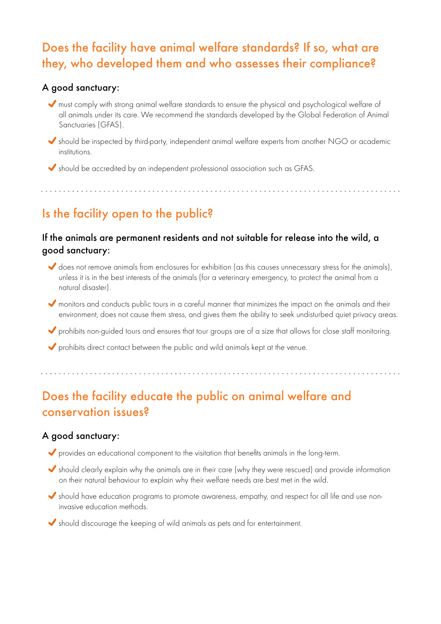## Does the facility have animal welfare standards? If so, what are they, who developed them and who assesses their compliance?

#### A good sanctuary:

- must comply with strong animal welfare standards to ensure the physical and psychological welfare of all animals under its care. We recommend the standards developed by the Global Federation of Animal Sanctuaries (GFAS).
- should be inspected by third-party, independent animal welfare experts from another NGO or academic institutions.

should be accredited by an independent professional association such as GFAS.

## Is the facility open to the public?

#### If the animals are permanent residents and not suitable for release into the wild, a good sanctuary:

- does not remove animals from enclosures for exhibition (as this causes unnecessary stress for the animals), unless it is in the best interests of the animals (for a veterinary emergency, to protect the animal from a natural disaster).
- monitors and conducts public tours in a careful manner that minimizes the impact on the animals and their environment, does not cause them stress, and gives them the ability to seek undisturbed quiet privacy areas.
- prohibits non-guided tours and ensures that tour groups are of a size that allows for close staff monitoring.
- prohibits direct contact between the public and wild animals kept at the venue.

## Does the facility educate the public on animal welfare and conservation issues?

#### A good sanctuary:

- provides an educational component to the visitation that benefits animals in the long-term.
- should clearly explain why the animals are in their care (why they were rescued) and provide information on their natural behaviour to explain why their welfare needs are best met in the wild.
- should have education programs to promote awareness, empathy, and respect for all life and use noninvasive education methods.
- should discourage the keeping of wild animals as pets and for entertainment.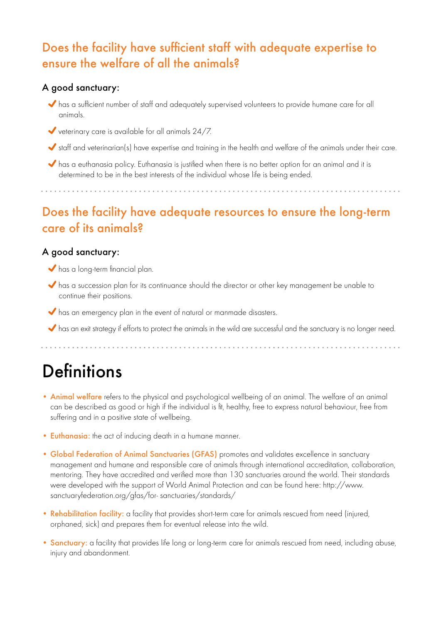## Does the facility have sufficient staff with adequate expertise to ensure the welfare of all the animals?

#### A good sanctuary:

- $\blacklozenge$  has a sufficient number of staff and adequately supervised volunteers to provide humane care for all animals.
- veterinary care is available for all animals 24/7.
- staff and veterinarian(s) have expertise and training in the health and welfare of the animals under their care.
- has a euthanasia policy. Euthanasia is justified when there is no better option for an animal and it is determined to be in the best interests of the individual whose life is being ended.

## Does the facility have adequate resources to ensure the long-term care of its animals?

#### A good sanctuary:

- has a long-term financial plan.
- has a succession plan for its continuance should the director or other key management be unable to continue their positions.
- $\blacktriangleright$  has an emergency plan in the event of natural or manmade disasters.
- has an exit strategy if efforts to protect the animals in the wild are successful and the sanctuary is no longer need.

## **Definitions**

- Animal welfare refers to the physical and psychological wellbeing of an animal. The welfare of an animal can be described as good or high if the individual is fit, healthy, free to express natural behaviour, free from suffering and in a positive state of wellbeing.
- Euthanasia: the act of inducing death in a humane manner.
- Global Federation of Animal Sanctuaries (GFAS) promotes and validates excellence in sanctuary management and humane and responsible care of animals through international accreditation, collaboration, mentoring. They have accredited and verified more than 130 sanctuaries around the world. Their standards were developed with the support of World Animal Protection and can be found here: http://www. sanctuaryfederation.org/gfas/for- sanctuaries/standards/
- Rehabilitation facility: a facility that provides short-term care for animals rescued from need (injured, orphaned, sick) and prepares them for eventual release into the wild.
- Sanctuary: a facility that provides life long or long-term care for animals rescued from need, including abuse, injury and abandonment.